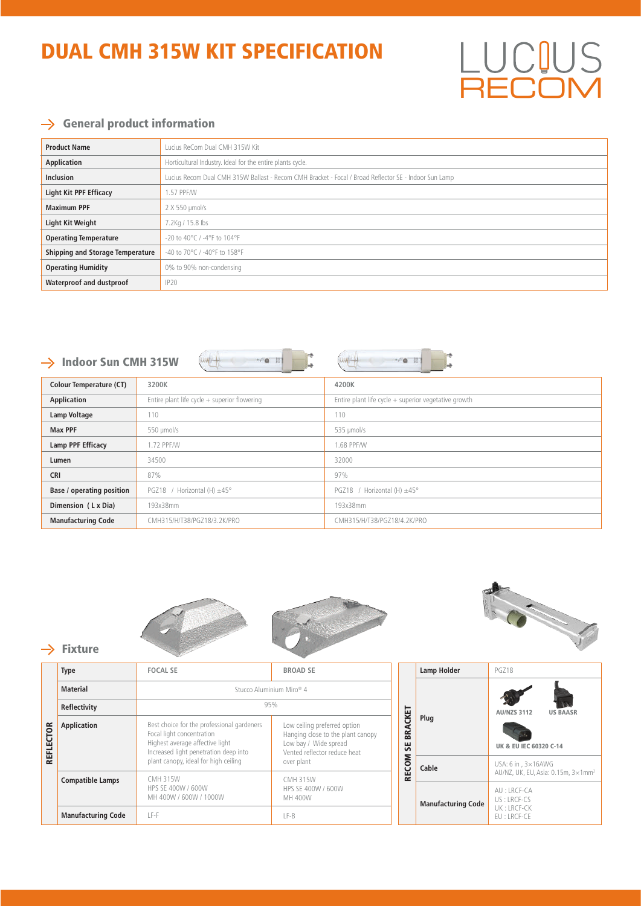# DUAL CMH 315W KIT SPECIFICATION

#### $\rightarrow$  General product information

| <b>Product Name</b>                     | Lucius ReCom Dual CMH 315W Kit                                                                        |  |  |
|-----------------------------------------|-------------------------------------------------------------------------------------------------------|--|--|
| <b>Application</b>                      | Horticultural Industry. Ideal for the entire plants cycle.                                            |  |  |
| <b>Inclusion</b>                        | Lucius Recom Dual CMH 315W Ballast - Recom CMH Bracket - Focal / Broad Reflector SE - Indoor Sun Lamp |  |  |
| <b>Light Kit PPF Efficacy</b>           | 1.57 PPF/W                                                                                            |  |  |
| <b>Maximum PPF</b>                      | $2 X 550$ µmol/s                                                                                      |  |  |
| <b>Light Kit Weight</b>                 | 7.2Kg / 15.8 lbs                                                                                      |  |  |
| <b>Operating Temperature</b>            | $-20$ to $40^{\circ}$ C / $-4^{\circ}$ F to $104^{\circ}$ F                                           |  |  |
| <b>Shipping and Storage Temperature</b> | -40 to 70°C / -40°F to 158°F                                                                          |  |  |
| <b>Operating Humidity</b>               | 0% to 90% non-condensing                                                                              |  |  |
| Waterproof and dustproof                | <b>IP20</b>                                                                                           |  |  |

### $\rightarrow$

| -re E<br>- 0 1<br>$\rightarrow$ Indoor Sun CMH 315W |                                                |                                                        |  |  |  |
|-----------------------------------------------------|------------------------------------------------|--------------------------------------------------------|--|--|--|
| <b>Colour Temperature (CT)</b>                      | 3200K                                          | 4200K                                                  |  |  |  |
| Application                                         | Entire plant life cycle $+$ superior flowering | Entire plant life cycle $+$ superior vegetative growth |  |  |  |
| Lamp Voltage                                        | 110                                            | 110                                                    |  |  |  |
| <b>Max PPF</b>                                      | 550 µmol/s                                     | 535 µmol/s                                             |  |  |  |
| Lamp PPF Efficacy                                   | 1.72 PPF/W                                     | 1.68 PPF/W                                             |  |  |  |
| Lumen                                               | 34500                                          | 32000                                                  |  |  |  |
| <b>CRI</b>                                          | 87%                                            | 97%                                                    |  |  |  |
| <b>Base / operating position</b>                    | PGZ18 / Horizontal (H) $\pm$ 45°               | PGZ18 / Horizontal (H) $\pm$ 45°                       |  |  |  |
| Dimension (LxDia)                                   | 193x38mm                                       | 193x38mm                                               |  |  |  |
| <b>Manufacturing Code</b>                           | CMH315/H/T38/PGZ18/3.2K/PRO                    | CMH315/H/T38/PGZ18/4.2K/PRO                            |  |  |  |







 $BFC$ 

US

 $\mathbb I$ 

#### $\rightarrow$  Fixture

|                            | <b>Type</b>               | <b>FOCAL SE</b>                                                                                                                                     | <b>BROAD SE</b>                                                                                                            |                           | Lamp Holder                | PGZ18                                                                             |
|----------------------------|---------------------------|-----------------------------------------------------------------------------------------------------------------------------------------------------|----------------------------------------------------------------------------------------------------------------------------|---------------------------|----------------------------|-----------------------------------------------------------------------------------|
| <b>CTOR</b><br>≞<br>ᇎ<br>퓙 | <b>Material</b>           | Stucco Aluminium Miro <sup>®</sup> 4                                                                                                                |                                                                                                                            |                           |                            |                                                                                   |
|                            | Reflectivity              | 95%                                                                                                                                                 |                                                                                                                            |                           | Plug                       | <b>AU/NZS 3112</b><br><b>US BAASR</b>                                             |
|                            | Application               | Best choice for the professional gardeners<br>Focal light concentration<br>Highest average affective light<br>Increased light penetration deep into | Low ceiling preferred option<br>Hanging close to the plant canopy<br>Low bay / Wide spread<br>Vented reflector reduce heat | <b>BRACKET</b><br>55      |                            | UK & EU IEC 60320 C-14                                                            |
|                            |                           | plant canopy, ideal for high ceiling<br><b>CMH 315W</b>                                                                                             | over plant<br><b>CMH 315W</b>                                                                                              | <b>RECOM</b>              | Cable                      | USA: $6$ in , $3 \times 16$ AWG<br>AU/NZ, UK, EU, Asia: 0.15m, 3×1mm <sup>2</sup> |
|                            | <b>Compatible Lamps</b>   | HPS SE 400W / 600W<br>HPS SE 400W / 600W<br>MH 400W / 600W / 1000W<br>MH 400W                                                                       |                                                                                                                            | <b>Manufacturing Code</b> | AU: LRCF-CA<br>US: LRCF-CS |                                                                                   |
|                            | <b>Manufacturing Code</b> | LF-F                                                                                                                                                | $LF-B$                                                                                                                     |                           |                            | UK: LRCF-CK<br>EU:LRCF-CE                                                         |